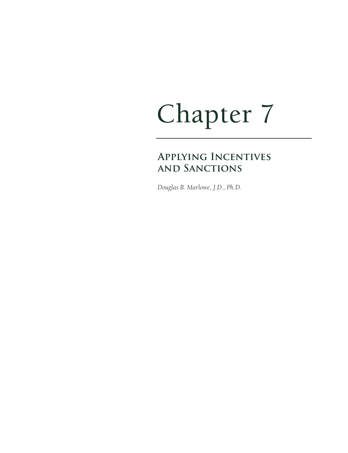# Chapter 7

## **Applying Incentives and Sanctions**

*Douglas B. Marlowe, J.D., Ph.D.*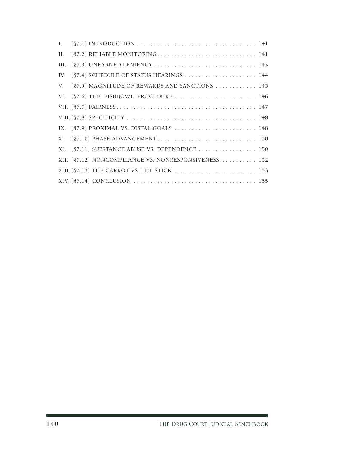| $\mathbf{I}$ . |                                                       |  |
|----------------|-------------------------------------------------------|--|
| II.            | [§7.2] RELIABLE MONITORING 141                        |  |
| III.           | [§7.3] UNEARNED LENIENCY  143                         |  |
| IV.            |                                                       |  |
| V.             | [§7.5] MAGNITUDE OF REWARDS AND SANCTIONS  145        |  |
|                | VI. [§7.6] THE FISHBOWL PROCEDURE  146                |  |
|                |                                                       |  |
|                |                                                       |  |
|                | IX. [§7.9] PROXIMAL VS. DISTAL GOALS  148             |  |
| X.             |                                                       |  |
|                | XI. [§7.11] SUBSTANCE ABUSE VS. DEPENDENCE  150       |  |
|                | XII. [§7.12] NONCOMPLIANCE VS. NONRESPONSIVENESS. 152 |  |
|                | XIII. [§7.13] THE CARROT VS. THE STICK  153           |  |
|                |                                                       |  |

Ξ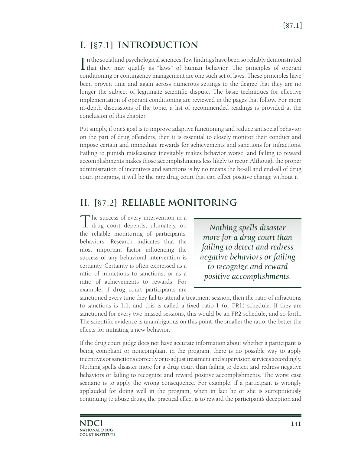## **I. [**§7.1**] INTRODUCTION**

In the social and psychological sciences, few findings have been so reliably demonstrated that they may qualify as "laws" of human behavior. The principles of operant n the social and psychological sciences, few findings have been so reliably demonstrated conditioning or contingency management are one such set of laws. These principles have been proven time and again across numerous settings to the degree that they are no longer the subject of legitimate scientific dispute. The basic techniques for effective implementation of operant conditioning are reviewed in the pages that follow. For more in-depth discussions of the topic, a list of recommended readings is provided at the conclusion of this chapter.

Put simply, if one's goal is to improve adaptive functioning and reduce antisocial behavior on the part of drug offenders, then it is essential to closely monitor their conduct and impose certain and immediate rewards for achievements and sanctions for infractions. Failing to punish misfeasance inevitably makes behavior worse, and failing to reward accomplishments makes those accomplishments less likely to recur. Although the proper administration of incentives and sanctions is by no means the be-all and end-all of drug court programs, it will be the rare drug court that can effect positive change without it.

### **II. [**§7.2**] RELIABLE MONITORING**

The success of every intervention in a drug court depends, ultimately, on the reliable monitoring of participants' behaviors. Research indicates that the most important factor influencing the success of any behavioral intervention is certainty. Certainty is often expressed as a ratio of infractions to sanctions, or as a ratio of achievements to rewards. For example, if drug court participants are

*Nothing spells disaster more for a drug court than failing to detect and redress negative behaviors or failing to recognize and reward positive accomplishments.*

sanctioned every time they fail to attend a treatment session, then the ratio of infractions to sanctions is 1:1, and this is called a fixed ratio-1 (or FR1) schedule. If they are sanctioned for every two missed sessions, this would be an FR2 schedule, and so forth. The scientific evidence is unambiguous on this point: the smaller the ratio, the better the effects for initiating a new behavior.

If the drug court judge does not have accurate information about whether a participant is being compliant or noncompliant in the program, there is no possible way to apply incentives or sanctions correctly or to adjust treatment and supervision services accordingly. Nothing spells disaster more for a drug court than failing to detect and redress negative behaviors or failing to recognize and reward positive accomplishments. The worst case scenario is to apply the wrong consequence. For example, if a participant is wrongly applauded for doing well in the program, when in fact he or she is surreptitiously continuing to abuse drugs, the practical effect is to reward the participant's deception and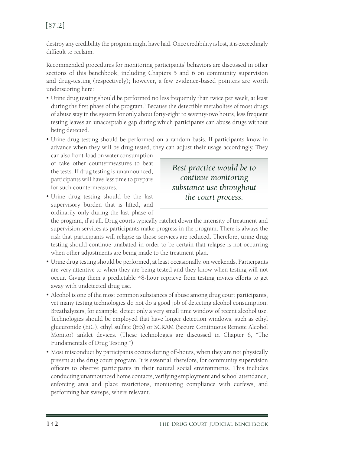#### [§7.2]

destroy any credibility the program might have had. Once credibility is lost, it is exceedingly difficult to reclaim.

Recommended procedures for monitoring participants' behaviors are discussed in other sections of this benchbook, including Chapters 5 and 6 on community supervision and drug-testing (respectively); however, a few evidence-based pointers are worth underscoring here:

- Urine drug testing should be performed no less frequently than twice per week, at least during the first phase of the program.<sup>1</sup> Because the detectible metabolites of most drugs of abuse stay in the system for only about forty-eight to seventy-two hours, less frequent testing leaves an unacceptable gap during which participants can abuse drugs without being detected.
- • Urine drug testing should be performed on a random basis. If participants know in advance when they will be drug tested, they can adjust their usage accordingly. They

can also front-load on water consumption or take other countermeasures to beat the tests. If drug testing is unannounced, participants will have less time to prepare for such countermeasures.

• Urine drug testing should be the last supervisory burden that is lifted, and ordinarily only during the last phase of

*Best practice would be to continue monitoring substance use throughout the court process.*

the program, if at all. Drug courts typically ratchet down the intensity of treatment and supervision services as participants make progress in the program. There is always the risk that participants will relapse as those services are reduced. Therefore, urine drug testing should continue unabated in order to be certain that relapse is not occurring when other adjustments are being made to the treatment plan.

- • Urine drug testing should be performed, at least occasionally, on weekends. Participants are very attentive to when they are being tested and they know when testing will not occur. Giving them a predictable 48-hour reprieve from testing invites efforts to get away with undetected drug use.
- Alcohol is one of the most common substances of abuse among drug court participants, yet many testing technologies do not do a good job of detecting alcohol consumption. Breathalyzers, for example, detect only a very small time window of recent alcohol use. Technologies should be employed that have longer detection windows, such as ethyl glucuronide (EtG), ethyl sulfate (EtS) or SCRAM (Secure Continuous Remote Alcohol Monitor) anklet devices. (These technologies are discussed in Chapter 6, "The Fundamentals of Drug Testing.")
- Most misconduct by participants occurs during off-hours, when they are not physically present at the drug court program. It is essential, therefore, for community supervision officers to observe participants in their natural social environments. This includes conducting unannounced home contacts, verifying employment and school attendance, enforcing area and place restrictions, monitoring compliance with curfews, and performing bar sweeps, where relevant.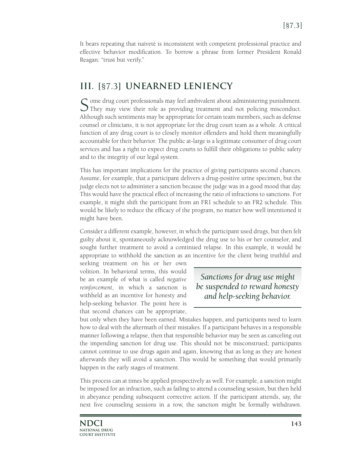It bears repeating that naiveté is inconsistent with competent professional practice and effective behavior modification. To borrow a phrase from former President Ronald Reagan: "trust but verify."

#### **III. [**§7.3**] UNEARNED LENIENCY**

 $\mathcal C$  ome drug court professionals may feel ambivalent about administering punishment. They may view their role as providing treatment and not policing misconduct. Although such sentiments may be appropriate for certain team members, such as defense counsel or clinicians, it is not appropriate for the drug court team as a whole. A critical function of any drug court is to closely monitor offenders and hold them meaningfully accountable for their behavior. The public at-large is a legitimate consumer of drug court services and has a right to expect drug courts to fulfill their obligations to public safety and to the integrity of our legal system.

This has important implications for the practice of giving participants second chances. Assume, for example, that a participant delivers a drug-positive urine specimen, but the judge elects not to administer a sanction because the judge was in a good mood that day. This would have the practical effect of increasing the ratio of infractions to sanctions. For example, it might shift the participant from an FR1 schedule to an FR2 schedule. This would be likely to reduce the efficacy of the program, no matter how well intentioned it might have been.

Consider a different example, however, in which the participant used drugs, but then felt guilty about it, spontaneously acknowledged the drug use to his or her counselor, and sought further treatment to avoid a continued relapse. In this example, it would be appropriate to withhold the sanction as an incentive for the client being truthful and

seeking treatment on his or her own volition. In behavioral terms, this would be an example of what is called *negative reinforcement*, in which a sanction is withheld as an incentive for honesty and help-seeking behavior. The point here is that second chances can be appropriate,

*Sanctions for drug use might be suspended to reward honesty and help-seeking behavior.* 

but only when they have been earned. Mistakes happen, and participants need to learn how to deal with the aftermath of their mistakes. If a participant behaves in a responsible manner following a relapse, then that responsible behavior may be seen as canceling out the impending sanction for drug use. This should not be misconstrued; participants cannot continue to use drugs again and again, knowing that as long as they are honest afterwards they will avoid a sanction. This would be something that would primarily happen in the early stages of treatment.

This process can at times be applied prospectively as well. For example, a sanction might be imposed for an infraction, such as failing to attend a counseling session, but then held in abeyance pending subsequent corrective action. If the participant attends, say, the next five counseling sessions in a row, the sanction might be formally withdrawn.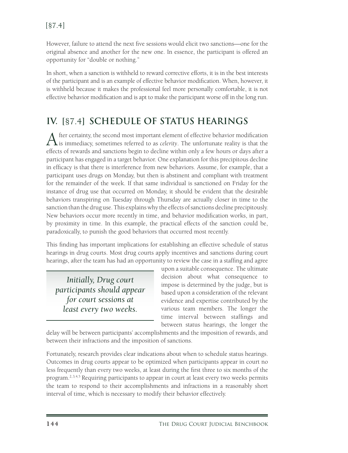However, failure to attend the next five sessions would elicit two sanctions—one for the original absence and another for the new one. In essence, the participant is offered an opportunity for "double or nothing."

In short, when a sanction is withheld to reward corrective efforts, it is in the best interests of the participant and is an example of effective behavior modification. When, however, it is withheld because it makes the professional feel more personally comfortable, it is not effective behavior modification and is apt to make the participant worse off in the long run.

#### **IV. [**§7.4**] SCHEDULE OF STATUS HEARINGS**

After certainty, the second most important element of effective behavior modification is immediacy, sometimes referred to as *celerity*. The unfortunate reality is that the effects of rewards and sanctions begin to decline within only a few hours or days after a participant has engaged in a target behavior. One explanation for this precipitous decline in efficacy is that there is interference from new behaviors. Assume, for example, that a participant uses drugs on Monday, but then is abstinent and compliant with treatment for the remainder of the week. If that same individual is sanctioned on Friday for the instance of drug use that occurred on Monday, it should be evident that the desirable behaviors transpiring on Tuesday through Thursday are actually closer in time to the sanction than the drug use. This explains why the effects of sanctions decline precipitously. New behaviors occur more recently in time, and behavior modification works, in part, by proximity in time. In this example, the practical effects of the sanction could be, paradoxically, to punish the good behaviors that occurred most recently.

This finding has important implications for establishing an effective schedule of status hearings in drug courts. Most drug courts apply incentives and sanctions during court hearings, after the team has had an opportunity to review the case in a staffing and agree

*Initially, Drug court participants should appear for court sessions at least every two weeks.*

upon a suitable consequence. The ultimate decision about what consequence to impose is determined by the judge, but is based upon a consideration of the relevant evidence and expertise contributed by the various team members. The longer the time interval between staffings and between status hearings, the longer the

delay will be between participants' accomplishments and the imposition of rewards, and between their infractions and the imposition of sanctions.

Fortunately, research provides clear indications about when to schedule status hearings. Outcomes in drug courts appear to be optimized when participants appear in court no less frequently than every two weeks, at least during the first three to six months of the program.<sup>2, 3, 4, 5</sup> Requiring participants to appear in court at least every two weeks permits the team to respond to their accomplishments and infractions in a reasonably short interval of time, which is necessary to modify their behavior effectively.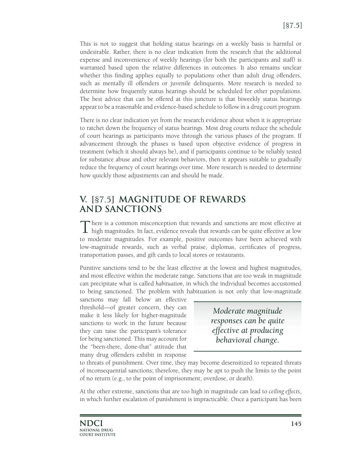This is not to suggest that holding status hearings on a weekly basis is harmful or undesirable. Rather, there is no clear indication from the research that the additional expense and inconvenience of weekly hearings (for both the participants and staff) is warranted based upon the relative differences in outcomes. It also remains unclear whether this finding applies equally to populations other than adult drug offenders, such as mentally ill offenders or juvenile delinquents. More research is needed to determine how frequently status hearings should be scheduled for other populations. The best advice that can be offered at this juncture is that biweekly status hearings appear to be a reasonable and evidence-based schedule to follow in a drug court program.

There is no clear indication yet from the research evidence about when it is appropriate to ratchet down the frequency of status hearings. Most drug courts reduce the schedule of court hearings as participants move through the various phases of the program. If advancement through the phases is based upon objective evidence of progress in treatment (which it should always be), and if participants continue to be reliably tested for substance abuse and other relevant behaviors, then it appears suitable to gradually reduce the frequency of court hearings over time. More research is needed to determine how quickly those adjustments can and should be made.

#### **V. [**§7.5**] MAGNITUDE OF REWARDS AND SANCTIONS**

There is a common misconception that rewards and sanctions are most effective at high magnitudes. In fact, evidence reveals that rewards can be quite effective at low to moderate magnitudes. For example, positive outcomes have been achieved with low-magnitude rewards, such as verbal praise, diplomas, certificates of progress, transportation passes, and gift cards to local stores or restaurants.

Punitive sanctions tend to be the least effective at the lowest and highest magnitudes, and most effective within the moderate range. Sanctions that are too weak in magnitude can precipitate what is called *habituation*, in which the individual becomes accustomed to being sanctioned. The problem with habituation is not only that low-magnitude

sanctions may fall below an effective threshold—of greater concern, they can make it less likely for higher-magnitude sanctions to work in the future because they can raise the participant's tolerance for being sanctioned. This may account for the "been-there, done-that" attitude that many drug offenders exhibit in response

*Moderate magnitude responses can be quite effective at producing behavioral change.*

to threats of punishment. Over time, they may become desensitized to repeated threats of inconsequential sanctions; therefore, they may be apt to push the limits to the point of no return (e.g., to the point of imprisonment, overdose, or death).

At the other extreme, sanctions that are too high in magnitude can lead to *ceiling effects*, in which further escalation of punishment is impracticable. Once a participant has been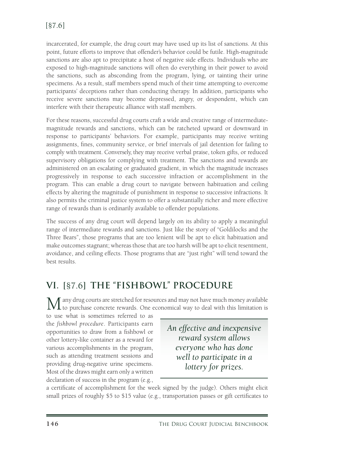incarcerated, for example, the drug court may have used up its list of sanctions. At this point, future efforts to improve that offender's behavior could be futile. High-magnitude sanctions are also apt to precipitate a host of negative side effects. Individuals who are exposed to high-magnitude sanctions will often do everything in their power to avoid the sanctions, such as absconding from the program, lying, or tainting their urine specimens. As a result, staff members spend much of their time attempting to overcome participants' deceptions rather than conducting therapy. In addition, participants who receive severe sanctions may become depressed, angry, or despondent, which can interfere with their therapeutic alliance with staff members.

For these reasons, successful drug courts craft a wide and creative range of intermediatemagnitude rewards and sanctions, which can be ratcheted upward or downward in response to participants' behaviors. For example, participants may receive writing assignments, fines, community service, or brief intervals of jail detention for failing to comply with treatment. Conversely, they may receive verbal praise, token gifts, or reduced supervisory obligations for complying with treatment. The sanctions and rewards are administered on an escalating or graduated gradient, in which the magnitude increases progressively in response to each successive infraction or accomplishment in the program. This can enable a drug court to navigate between habituation and ceiling effects by altering the magnitude of punishment in response to successive infractions. It also permits the criminal justice system to offer a substantially richer and more effective range of rewards than is ordinarily available to offender populations.

The success of any drug court will depend largely on its ability to apply a meaningful range of intermediate rewards and sanctions. Just like the story of "Goldilocks and the Three Bears", those programs that are too lenient will be apt to elicit habituation and make outcomes stagnant; whereas those that are too harsh will be apt to elicit resentment, avoidance, and ceiling effects. Those programs that are "just right" will tend toward the best results.

#### **VI. [**§7.6**] THE "FISHBOWL" PROCEDURE**

Many drug courts are stretched for resources and may not have much money available  $t_{\rm I}$  to purchase concrete rewards. One economical way to deal with this limitation is

to use what is sometimes referred to as the *fishbowl procedure*. Participants earn opportunities to draw from a fishbowl or other lottery-like container as a reward for various accomplishments in the program, such as attending treatment sessions and providing drug-negative urine specimens. Most of the draws might earn only a written declaration of success in the program (e.g.,

*An effective and inexpensive reward system allows everyone who has done well to participate in a lottery for prizes.*

a certificate of accomplishment for the week signed by the judge). Others might elicit small prizes of roughly \$5 to \$15 value (e.g., transportation passes or gift certificates to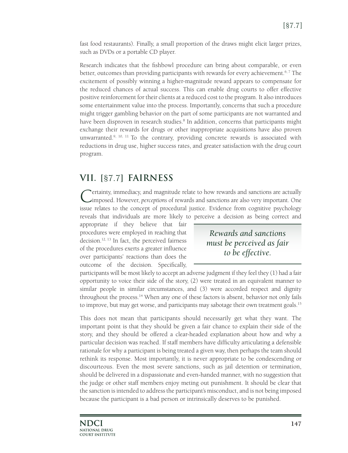fast food restaurants). Finally, a small proportion of the draws might elicit larger prizes, such as DVDs or a portable CD player.

Research indicates that the fishbowl procedure can bring about comparable, or even better, outcomes than providing participants with rewards for every achievement.<sup>6,7</sup> The excitement of possibly winning a higher-magnitude reward appears to compensate for the reduced chances of actual success. This can enable drug courts to offer effective positive reinforcement for their clients at a reduced cost to the program. It also introduces some entertainment value into the process. Importantly, concerns that such a procedure might trigger gambling behavior on the part of some participants are not warranted and have been disproven in research studies.<sup>8</sup> In addition, concerns that participants might exchange their rewards for drugs or other inappropriate acquisitions have also proven unwarranted.<sup>9, 10, 11</sup> To the contrary, providing concrete rewards is associated with reductions in drug use, higher success rates, and greater satisfaction with the drug court program.

#### **VII. [**§7.7**] FAIRNESS**

Certainty, immediacy, and magnitude relate to how rewards and sanctions are actually imposed. However, *perceptions* of rewards and sanctions are also very important. One issue relates to the concept of procedural justice. Evidence from cognitive psychology reveals that individuals are more likely to perceive a decision as being correct and

appropriate if they believe that fair procedures were employed in reaching that decision.12, 13 In fact, the perceived fairness of the procedures exerts a greater influence over participants' reactions than does the outcome of the decision. Specifically,

*Rewards and sanctions must be perceived as fair to be effective.*

participants will be most likely to accept an adverse judgment if they feel they (1) had a fair opportunity to voice their side of the story, (2) were treated in an equivalent manner to similar people in similar circumstances, and (3) were accorded respect and dignity throughout the process.14 When any one of these factors is absent, behavior not only fails to improve, but may get worse, and participants may sabotage their own treatment goals.<sup>15</sup>

This does not mean that participants should necessarily get what they want. The important point is that they should be given a fair chance to explain their side of the story, and they should be offered a clear-headed explanation about how and why a particular decision was reached. If staff members have difficulty articulating a defensible rationale for why a participant is being treated a given way, then perhaps the team should rethink its response. Most importantly, it is never appropriate to be condescending or discourteous. Even the most severe sanctions, such as jail detention or termination, should be delivered in a dispassionate and even-handed manner, with no suggestion that the judge or other staff members enjoy meting out punishment. It should be clear that the sanction is intended to address the participant's misconduct, and is not being imposed because the participant is a bad person or intrinsically deserves to be punished.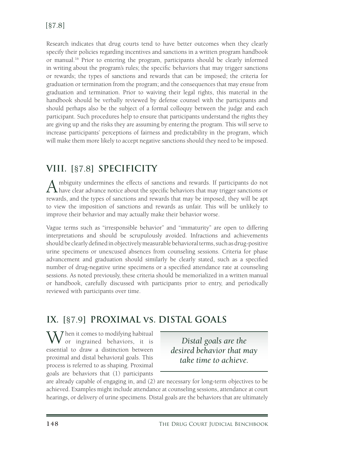Research indicates that drug courts tend to have better outcomes when they clearly specify their policies regarding incentives and sanctions in a written program handbook or manual.16 Prior to entering the program, participants should be clearly informed in writing about the program's rules; the specific behaviors that may trigger sanctions or rewards; the types of sanctions and rewards that can be imposed; the criteria for graduation or termination from the program; and the consequences that may ensue from graduation and termination. Prior to waiving their legal rights, this material in the handbook should be verbally reviewed by defense counsel with the participants and should perhaps also be the subject of a formal colloquy between the judge and each participant. Such procedures help to ensure that participants understand the rights they are giving up and the risks they are assuming by entering the program. This will serve to increase participants' perceptions of fairness and predictability in the program, which will make them more likely to accept negative sanctions should they need to be imposed.

#### **VIII. [**§7.8**] SPECIFICITY**

A mbiguity undermines the effects of sanctions and rewards. If participants do not have clear advance notice about the specific behaviors that may trigger sanctions or rewards, and the types of sanctions and rewards that may be imposed, they will be apt to view the imposition of sanctions and rewards as unfair. This will be unlikely to improve their behavior and may actually make their behavior worse.

Vague terms such as "irresponsible behavior" and "immaturity" are open to differing interpretations and should be scrupulously avoided. Infractions and achievements should be clearly defined in objectively measurable behavioral terms, such as drug-positive urine specimens or unexcused absences from counseling sessions. Criteria for phase advancement and graduation should similarly be clearly stated, such as a specified number of drug-negative urine specimens or a specified attendance rate at counseling sessions. As noted previously, these criteria should be memorialized in a written manual or handbook, carefully discussed with participants prior to entry, and periodically reviewed with participants over time.

#### **IX. [**§7.9**] PROXIMAL vs. DISTAL GOALS**

 $\overline{J}$  hen it comes to modifying habitual or ingrained behaviors, it is essential to draw a distinction between proximal and distal behavioral goals. This process is referred to as shaping. Proximal goals are behaviors that (1) participants

*Distal goals are the desired behavior that may take time to achieve.*

are already capable of engaging in, and (2) are necessary for long-term objectives to be achieved. Examples might include attendance at counseling sessions, attendance at court hearings, or delivery of urine specimens. Distal goals are the behaviors that are ultimately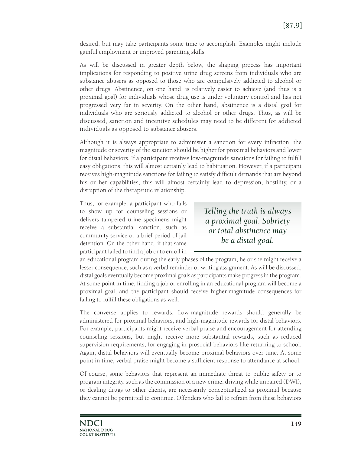desired, but may take participants some time to accomplish. Examples might include gainful employment or improved parenting skills.

As will be discussed in greater depth below, the shaping process has important implications for responding to positive urine drug screens from individuals who are substance abusers as opposed to those who are compulsively addicted to alcohol or other drugs. Abstinence, on one hand, is relatively easier to achieve (and thus is a proximal goal) for individuals whose drug use is under voluntary control and has not progressed very far in severity. On the other hand, abstinence is a distal goal for individuals who are seriously addicted to alcohol or other drugs. Thus, as will be discussed, sanction and incentive schedules may need to be different for addicted individuals as opposed to substance abusers.

Although it is always appropriate to administer a sanction for every infraction, the magnitude or severity of the sanction should be higher for proximal behaviors and lower for distal behaviors. If a participant receives low-magnitude sanctions for failing to fulfill easy obligations, this will almost certainly lead to habituation. However, if a participant receives high-magnitude sanctions for failing to satisfy difficult demands that are beyond his or her capabilities, this will almost certainly lead to depression, hostility, or a disruption of the therapeutic relationship.

Thus, for example, a participant who fails to show up for counseling sessions or delivers tampered urine specimens might receive a substantial sanction, such as community service or a brief period of jail detention. On the other hand, if that same participant failed to find a job or to enroll in

*Telling the truth is always a proximal goal. Sobriety or total abstinence may be a distal goal.*

an educational program during the early phases of the program, he or she might receive a lesser consequence, such as a verbal reminder or writing assignment. As will be discussed, distal goals eventually become proximal goals as participants make progress in the program. At some point in time, finding a job or enrolling in an educational program will become a proximal goal, and the participant should receive higher-magnitude consequences for failing to fulfill these obligations as well.

The converse applies to rewards. Low-magnitude rewards should generally be administered for proximal behaviors, and high-magnitude rewards for distal behaviors. For example, participants might receive verbal praise and encouragement for attending counseling sessions, but might receive more substantial rewards, such as reduced supervision requirements, for engaging in prosocial behaviors like returning to school. Again, distal behaviors will eventually become proximal behaviors over time. At some point in time, verbal praise might become a sufficient response to attendance at school.

Of course, some behaviors that represent an immediate threat to public safety or to program integrity, such as the commission of a new crime, driving while impaired (DWI), or dealing drugs to other clients, are necessarily conceptualized as proximal because they cannot be permitted to continue. Offenders who fail to refrain from these behaviors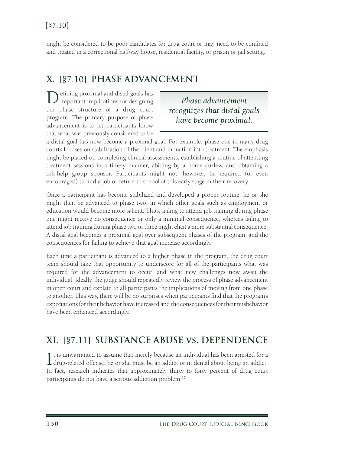might be considered to be poor candidates for drug court or may need to be confined and treated in a correctional halfway house, residential facility, or prison or jail setting.

#### **X. [**§7.10**] PHASE ADVANCEMENT**

efining proximal and distal goals has important implications for designing the phase structure of a drug court program. The primary purpose of phase advancement is to let participants know that what was previously considered to be

*Phase advancement recognizes that distal goals have become proximal.*

a distal goal has now become a proximal goal. For example, phase one in many drug courts focuses on stabilization of the client and induction into treatment. The emphasis might be placed on completing clinical assessments, establishing a routine of attending treatment sessions in a timely manner, abiding by a home curfew, and obtaining a self-help group sponsor. Participants might not, however, be required (or even encouraged) to find a job or return to school at this early stage in their recovery.

Once a participant has become stabilized and developed a proper routine, he or she might then be advanced to phase two, in which other goals such as employment or education would become more salient. Thus, failing to attend job training during phase one might receive no consequence or only a minimal consequence, whereas failing to attend job training during phase two or three might elicit a more substantial consequence. A distal goal becomes a proximal goal over subsequent phases of the program, and the consequences for failing to achieve that goal increase accordingly.

Each time a participant is advanced to a higher phase in the program, the drug court team should take that opportunity to underscore for all of the participants what was required for the advancement to occur, and what new challenges now await the individual. Ideally, the judge should repeatedly review the process of phase advancement in open court and explain to all participants the implications of moving from one phase to another. This way, there will be no surprises when participants find that the program's expectations for their behavior have increased and the consequences for their misbehavior have been enhanced accordingly.

#### **XI. [**§7.11**] SUBSTANCE ABUSE vs. DEPENDENCE**

I t is unwarranted to assume that merely because an individual has been arrested for a drug-related offense, he or she must be an addict or in denial about being an addict. **L** drug-related offense, he or she must be an addict or in denial about being an addict. In fact, research indicates that approximately thirty to forty percent of drug court participants do not have a serious addiction problem.<sup>17</sup>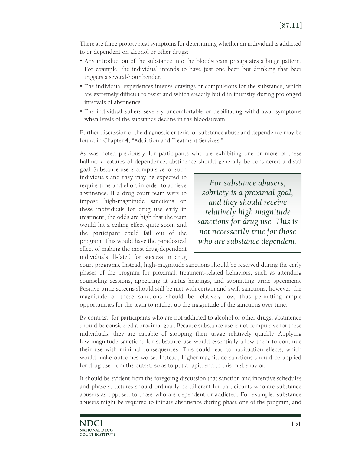There are three prototypical symptoms for determining whether an individual is addicted to or dependent on alcohol or other drugs:

- • Any introduction of the substance into the bloodstream precipitates a binge pattern. For example, the individual intends to have just one beer, but drinking that beer triggers a several-hour bender.
- The individual experiences intense cravings or compulsions for the substance, which are extremely difficult to resist and which steadily build in intensity during prolonged intervals of abstinence.
- The individual suffers severely uncomfortable or debilitating withdrawal symptoms when levels of the substance decline in the bloodstream.

Further discussion of the diagnostic criteria for substance abuse and dependence may be found in Chapter 4, "Addiction and Treatment Services."

As was noted previously, for participants who are exhibiting one or more of these hallmark features of dependence, abstinence should generally be considered a distal

goal. Substance use is compulsive for such individuals and they may be expected to require time and effort in order to achieve abstinence. If a drug court team were to impose high-magnitude sanctions on these individuals for drug use early in treatment, the odds are high that the team would hit a ceiling effect quite soon, and the participant could fail out of the program. This would have the paradoxical effect of making the most drug-dependent individuals ill-fated for success in drug

*For substance abusers, sobriety is a proximal goal, and they should receive relatively high magnitude sanctions for drug use. This is not necessarily true for those who are substance dependent.*

court programs. Instead, high-magnitude sanctions should be reserved during the early phases of the program for proximal, treatment-related behaviors, such as attending counseling sessions, appearing at status hearings, and submitting urine specimens. Positive urine screens should still be met with certain and swift sanctions; however, the magnitude of those sanctions should be relatively low, thus permitting ample opportunities for the team to ratchet up the magnitude of the sanctions over time.

By contrast, for participants who are not addicted to alcohol or other drugs, abstinence should be considered a proximal goal. Because substance use is not compulsive for these individuals, they are capable of stopping their usage relatively quickly. Applying low-magnitude sanctions for substance use would essentially allow them to continue their use with minimal consequences. This could lead to habituation effects, which would make outcomes worse. Instead, higher-magnitude sanctions should be applied for drug use from the outset, so as to put a rapid end to this misbehavior.

It should be evident from the foregoing discussion that sanction and incentive schedules and phase structures should ordinarily be different for participants who are substance abusers as opposed to those who are dependent or addicted. For example, substance abusers might be required to initiate abstinence during phase one of the program, and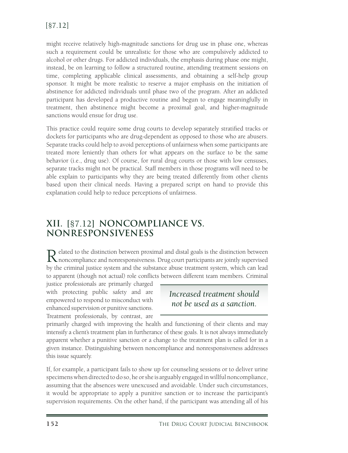might receive relatively high-magnitude sanctions for drug use in phase one, whereas such a requirement could be unrealistic for those who are compulsively addicted to alcohol or other drugs. For addicted individuals, the emphasis during phase one might, instead, be on learning to follow a structured routine, attending treatment sessions on time, completing applicable clinical assessments, and obtaining a self-help group sponsor. It might be more realistic to reserve a major emphasis on the initiation of abstinence for addicted individuals until phase two of the program. After an addicted participant has developed a productive routine and begun to engage meaningfully in treatment, then abstinence might become a proximal goal, and higher-magnitude sanctions would ensue for drug use.

This practice could require some drug courts to develop separately stratified tracks or dockets for participants who are drug-dependent as opposed to those who are abusers. Separate tracks could help to avoid perceptions of unfairness when some participants are treated more leniently than others for what appears on the surface to be the same behavior (i.e., drug use). Of course, for rural drug courts or those with low censuses, separate tracks might not be practical. Staff members in those programs will need to be able explain to participants why they are being treated differently from other clients based upon their clinical needs. Having a prepared script on hand to provide this explanation could help to reduce perceptions of unfairness.

#### **XII. [**§7.12**] NONCOMPLIANCE VS. NONRESPONSIVENESS**

Related to the distinction between proximal and distal goals is the distinction between noncompliance and nonresponsiveness. Drug court participants are jointly supervised by the criminal justice system and the substance abuse treatment system, which can lead to apparent (though not actual) role conflicts between different team members. Criminal

justice professionals are primarily charged with protecting public safety and are empowered to respond to misconduct with enhanced supervision or punitive sanctions. Treatment professionals, by contrast, are

#### *Increased treatment should not be used as a sanction.*

primarily charged with improving the health and functioning of their clients and may intensify a client's treatment plan in furtherance of these goals. It is not always immediately apparent whether a punitive sanction or a change to the treatment plan is called for in a given instance. Distinguishing between noncompliance and nonresponsiveness addresses this issue squarely.

If, for example, a participant fails to show up for counseling sessions or to deliver urine specimens when directed to do so, he or she is arguably engaged in willful noncompliance, assuming that the absences were unexcused and avoidable. Under such circumstances, it would be appropriate to apply a punitive sanction or to increase the participant's supervision requirements. On the other hand, if the participant was attending all of his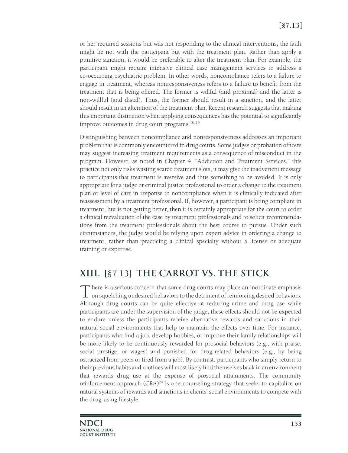or her required sessions but was not responding to the clinical interventions, the fault might lie not with the participant but with the treatment plan. Rather than apply a punitive sanction, it would be preferable to alter the treatment plan. For example, the participant might require intensive clinical case management services to address a co-occurring psychiatric problem. In other words, noncompliance refers to a failure to engage in treatment, whereas nonresponsiveness refers to a failure to benefit from the treatment that is being offered. The former is willful (and proximal) and the latter is non-willful (and distal). Thus, the former should result in a sanction, and the latter should result in an alteration of the treatment plan. Recent research suggests that making this important distinction when applying consequences has the potential to significantly improve outcomes in drug court programs.  $18, 19$ 

Distinguishing between noncompliance and nonresponsiveness addresses an important problem that is commonly encountered in drug courts. Some judges or probation officers may suggest increasing treatment requirements as a consequence of misconduct in the program. However, as noted in Chapter 4, "Addiction and Treatment Services," this practice not only risks wasting scarce treatment slots, it may give the inadvertent message to participants that treatment is aversive and thus something to be avoided. It is only appropriate for a judge or criminal justice professional to order a change to the treatment plan or level of care in response to noncompliance when it is clinically indicated after reassessment by a treatment professional. If, however, a participant is being compliant in treatment, but is not getting better, then it is certainly appropriate for the court to order a clinical reevaluation of the case by treatment professionals and to solicit recommendations from the treatment professionals about the best course to pursue. Under such circumstances, the judge would be relying upon expert advice in ordering a change to treatment, rather than practicing a clinical specialty without a license or adequate training or expertise.

#### **XIII. [**§7.13**] THE CARROT VS. THE STICK**

There is a serious concern that some drug courts may place an inordinate emphasis  $\perp$  on squelching undesired behaviors to the detriment of reinforcing desired behaviors. Although drug courts can be quite effective at reducing crime and drug use while participants are under the supervision of the judge, these effects should not be expected to endure unless the participants receive alternative rewards and sanctions in their natural social environments that help to maintain the effects over time. For instance, participants who find a job, develop hobbies, or improve their family relationships will be more likely to be continuously rewarded for prosocial behaviors (e.g., with praise, social prestige, or wages) and punished for drug-related behaviors (e.g., by being ostracized from peers or fired from a job). By contrast, participants who simply return to their previous habits and routines will most likely find themselves back in an environment that rewards drug use at the expense of prosocial attainments. The community reinforcement approach (CRA)<sup>20</sup> is one counseling strategy that seeks to capitalize on natural systems of rewards and sanctions in clients' social environments to compete with the drug-using lifestyle.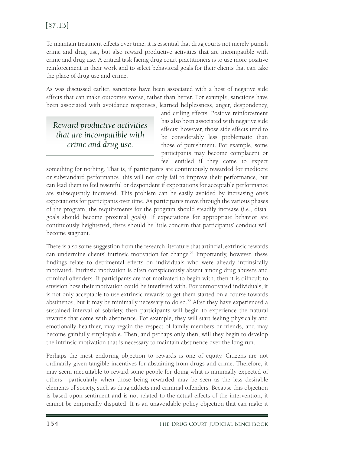To maintain treatment effects over time, it is essential that drug courts not merely punish crime and drug use, but also reward productive activities that are incompatible with crime and drug use. A critical task facing drug court practitioners is to use more positive reinforcement in their work and to select behavioral goals for their clients that can take the place of drug use and crime.

As was discussed earlier, sanctions have been associated with a host of negative side effects that can make outcomes worse, rather than better. For example, sanctions have been associated with avoidance responses, learned helplessness, anger, despondency,

*Reward productive activities that are incompatible with crime and drug use.*

and ceiling effects. Positive reinforcement has also been associated with negative side effects; however, those side effects tend to be considerably less problematic than those of punishment. For example, some participants may become complacent or feel entitled if they come to expect

something for nothing. That is, if participants are continuously rewarded for mediocre or substandard performance, this will not only fail to improve their performance, but can lead them to feel resentful or despondent if expectations for acceptable performance are subsequently increased. This problem can be easily avoided by increasing one's expectations for participants over time. As participants move through the various phases of the program, the requirements for the program should steadily increase (i.e., distal goals should become proximal goals). If expectations for appropriate behavior are continuously heightened, there should be little concern that participants' conduct will become stagnant.

There is also some suggestion from the research literature that artificial, extrinsic rewards can undermine clients' intrinsic motivation for change.<sup>21</sup> Importantly, however, these findings relate to detrimental effects on individuals who were already intrinsically motivated. Intrinsic motivation is often conspicuously absent among drug abusers and criminal offenders. If participants are not motivated to begin with, then it is difficult to envision how their motivation could be interfered with. For unmotivated individuals, it is not only acceptable to use extrinsic rewards to get them started on a course towards abstinence, but it may be minimally necessary to do so.<sup>22</sup> After they have experienced a sustained interval of sobriety, then participants will begin to experience the natural rewards that come with abstinence. For example, they will start feeling physically and emotionally healthier, may regain the respect of family members or friends, and may become gainfully employable. Then, and perhaps only then, will they begin to develop the intrinsic motivation that is necessary to maintain abstinence over the long run.

Perhaps the most enduring objection to rewards is one of equity. Citizens are not ordinarily given tangible incentives for abstaining from drugs and crime. Therefore, it may seem inequitable to reward some people for doing what is minimally expected of others—particularly when those being rewarded may be seen as the less desirable elements of society, such as drug addicts and criminal offenders. Because this objection is based upon sentiment and is not related to the actual effects of the intervention, it cannot be empirically disputed. It is an unavoidable policy objection that can make it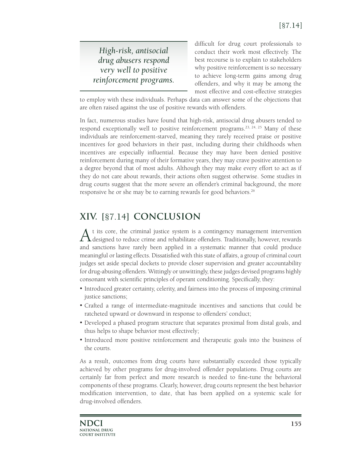*High-risk, antisocial drug abusers respond very well to positive reinforcement programs.* difficult for drug court professionals to conduct their work most effectively. The best recourse is to explain to stakeholders why positive reinforcement is so necessary to achieve long-term gains among drug offenders, and why it may be among the most effective and cost-effective strategies

to employ with these individuals. Perhaps data can answer some of the objections that are often raised against the use of positive rewards with offenders.

In fact, numerous studies have found that high-risk, antisocial drug abusers tended to respond exceptionally well to positive reinforcement programs.<sup>23, 24, 25</sup> Many of these individuals are reinforcement-starved, meaning they rarely received praise or positive incentives for good behaviors in their past, including during their childhoods when incentives are especially influential. Because they may have been denied positive reinforcement during many of their formative years, they may crave positive attention to a degree beyond that of most adults. Although they may make every effort to act as if they do not care about rewards, their actions often suggest otherwise. Some studies in drug courts suggest that the more severe an offender's criminal background, the more responsive he or she may be to earning rewards for good behaviors.<sup>26</sup>

## **XIV. [**§7.14**] CONCLUSION**

A t its core, the criminal justice system is a contingency management intervention designed to reduce crime and rehabilitate offenders. Traditionally, however, rewards and sanctions have rarely been applied in a systematic manner that could produce meaningful or lasting effects. Dissatisfied with this state of affairs, a group of criminal court judges set aside special dockets to provide closer supervision and greater accountability for drug-abusing offenders. Wittingly or unwittingly, these judges devised programs highly consonant with scientific principles of operant conditioning. Specifically, they:

- Introduced greater certainty, celerity, and fairness into the process of imposing criminal justice sanctions;
- • Crafted a range of intermediate-magnitude incentives and sanctions that could be ratcheted upward or downward in response to offenders' conduct;
- Developed a phased program structure that separates proximal from distal goals, and thus helps to shape behavior most effectively;
- • Introduced more positive reinforcement and therapeutic goals into the business of the courts.

As a result, outcomes from drug courts have substantially exceeded those typically achieved by other programs for drug-involved offender populations. Drug courts are certainly far from perfect and more research is needed to fine-tune the behavioral components of these programs. Clearly, however, drug courts represent the best behavior modification intervention, to date, that has been applied on a systemic scale for drug-involved offenders.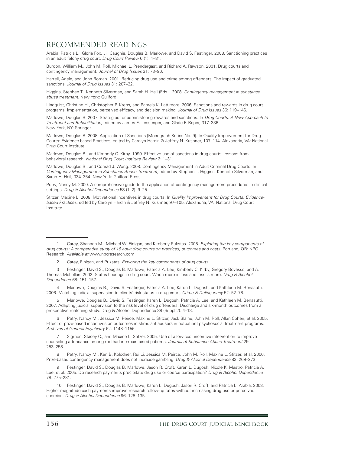#### RECOMMENDED READINGS

Arabia, Patricia L., Gloria Fox, Jill Caughie, Douglas B. Marlowe, and David S. Festinger. 2008. Sanctioning practices in an adult felony drug court. *Drug Court Review* 6 (1): 1–31.

Burdon, William M., John M. Roll, Michael L. Prendergast, and Richard A. Rawson. 2001. Drug courts and contingency management. *Journal of Drug Issues* 31: 73–90.

Harrell, Adele, and John Roman. 2001. Reducing drug use and crime among offenders: The impact of graduated sanctions. *Journal of Drug Issues* 31: 207–32.

Higgins, Stephen T., Kenneth Silverman, and Sarah H. Heil (Eds.). 2008. *Contingency management in substance abuse treatment.* New York: Guilford.

Lindquist, Christine H., Christopher P. Krebs, and Pamela K. Lattimore. 2006. Sanctions and rewards in drug court programs: Implementation, perceived efficacy, and decision making. *Journal of Drug Issues* 36: 119–146.

Marlowe, Douglas B. 2007. Strategies for administering rewards and sanctions. In *Drug Courts: A New Approach to Treatment and Rehabilitation,* edited by James E. Lessenger, and Glade F. Roper, 317–336. New York, NY: Springer.

Marlowe, Douglas B. 2008. Application of Sanctions [Monograph Series No. 9]. In Quality Improvement for Drug Courts: Evidence-based Practices, edited by Carolyn Hardin & Jeffrey N. Kushner, 107–114. Alexandria, VA: National Drug Court Institute.

Marlowe, Douglas B., and Kimberly C. Kirby. 1999. Effective use of sanctions in drug courts: lessons from behavioral research. *National Drug Court Institute Review* 2: 1–31.

Marlowe, Douglas B., and Conrad J. Wong. 2008. Contingency Management in Adult Criminal Drug Courts. In *Contingency Management in Substance Abuse Treatment, edited by Stephen T. Higgins, Kenneth Silverman, and* Sarah H. Heil, 334–354. New York: Guilford Press.

Petry, Nancy M. 2000. A comprehensive guide to the application of contingency management procedures in clinical settings. *Drug & Alcohol Dependence* 58 (1–2): 9–25.

Stitzer, Maxine L. 2008. Motivational incentives in drug courts. In *Quality Improvement for Drug Courts: Evidencebased Practices,* edited by Carolyn Hardin & Jeffrey N. Kushner, 97–105. Alexandria, VA: National Drug Court Institute.

3 Festinger, David S., Douglas B. Marlowe, Patricia A. Lee, Kimberly C. Kirby, Gregory Bovasso, and A. Thomas McLellan. 2002. Status hearings in drug court: When more is less and less is more. *Drug & Alcohol Dependence* 68: 151–157.

4 Marlowe, Douglas B., David S. Festinger, Patricia A. Lee, Karen L. Dugosh, and Kathleen M. Benasutti. 2006. Matching judicial supervision to clients' risk status in drug court. *Crime & Delinquency* 52: 52–76.

5 Marlowe, Douglas B., David S. Festinger, Karen L. Dugosh, Patricia A. Lee, and Kathleen M. Benasutti. 2007. Adapting judicial supervision to the risk level of drug offenders: Discharge and six-month outcomes from a prospective matching study. Drug & Alcohol Dependence 88 (Suppl 2): 4–13.

Petry, Nancy M., Jessica M. Peirce, Maxine L. Stitzer, Jack Blaine, John M. Roll, Allan Cohen, et al. 2005. Effect of prize-based incentives on outcomes in stimulant abusers in outpatient psychosocial treatment programs. *Archives of General Psychiatry* 62: 1148–1156.

Sigmon, Stacey C., and Maxine L. Stitzer. 2005. Use of a low-cost incentive intervention to improve counseling attendance among methadone-maintained patients. *Journal of Substance Abuse Treatment* 29: 253–258.

8 Petry, Nancy M., Ken B. Kolodner, Rui Li, Jessica M. Peirce, John M. Roll, Maxine L. Stitzer, et al. 2006. Prize-based contingency management does not increase gambling. *Drug & Alcohol Dependence* 83: 269–273.

9 Festinger, David S., Douglas B. Marlowe, Jason R. Croft, Karen L. Dugosh, Nicole K. Mastro, Patricia A. Lee, et al. 2005. Do research payments precipitate drug use or coerce participation? *Drug & Alcohol Dependence*  78: 275–281.

10 Festinger, David S., Douglas B. Marlowe, Karen L. Dugosh, Jason R. Croft, and Patricia L. Arabia. 2008. Higher magnitude cash payments improve research follow-up rates without increasing drug use or perceived coercion. *Drug & Alcohol Dependence* 96: 128–135.

Carey, Shannon M., Michael W. Finigan, and Kimberly Pukstas. 2008. Exploring the key components of *drug courts: A comparative study of 18 adult drug courts on practices, outcomes and costs.* Portland, OR: NPC Research. *Available at* www.npcresearch.com.

Carey, Finigan, and Pukstas. Exploring the key components of drug courts.